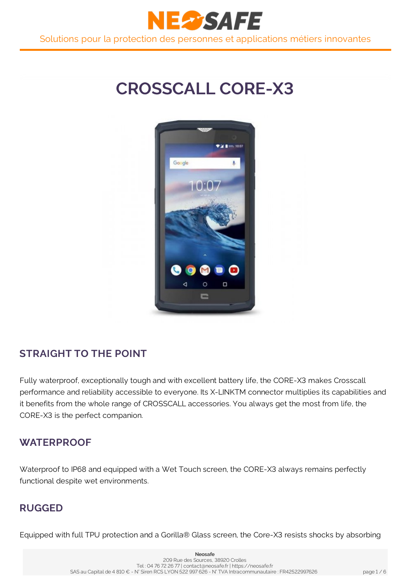

# **CROSSCALL CORE-X3**



# **STRAIGHT TO THE POINT**

Fully waterproof, exceptionally tough and with excellent battery life, the CORE-X3 makes Crosscall performance and reliability accessible to everyone. Its X-LINKTM connector multiplies its capabilities and it benefits from the whole range of CROSSCALL accessories. You always get the most from life, the CORE-X3 is the perfect companion.

#### **WATERPROOF**

Waterproof to IP68 and equipped with a Wet Touch screen, the CORE-X3 always remains perfectly functional despite wet environments.

#### **RUGGED**

Equipped with full TPU protection and a Gorilla® Glass screen, the Core-X3 resists shocks by absorbing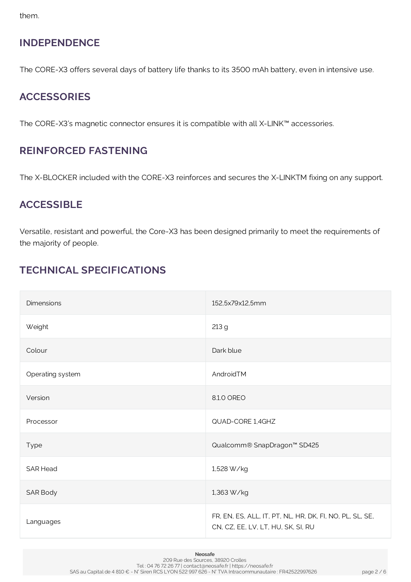them.

# **INDEPENDENCE**

The CORE-X3 offers several days of battery life thanks to its 3500 mAh battery, even in intensive use.

# **ACCESSORIES**

The CORE-X3's magnetic connector ensures it is compatible with all X-LINK™ accessories.

#### **REINFORCED FASTENING**

The X-BLOCKER included with the CORE-X3 reinforces and secures the X-LINKTM fixing on any support.

#### **ACCESSIBLE**

Versatile, resistant and powerful, the Core-X3 has been designed primarily to meet the requirements of the majority of people.

# **TECHNICAL SPECIFICATIONS**

| <b>Dimensions</b> | 152,5x79x12,5mm                                                                                |
|-------------------|------------------------------------------------------------------------------------------------|
| Weight            | 213 g                                                                                          |
| Colour            | Dark blue                                                                                      |
| Operating system  | AndroidTM                                                                                      |
| Version           | 8.1.0 OREO                                                                                     |
| Processor         | QUAD-CORE 1,4GHZ                                                                               |
| Type              | Qualcomm® SnapDragon™ SD425                                                                    |
| <b>SAR Head</b>   | 1,528 W/kg                                                                                     |
| SAR Body          | 1,363 W/kg                                                                                     |
| Languages         | FR, EN, ES, ALL, IT, PT, NL, HR, DK, FI, NO, PL, SL, SE,<br>CN, CZ, EE, LV, LT, HU, SK, SI, RU |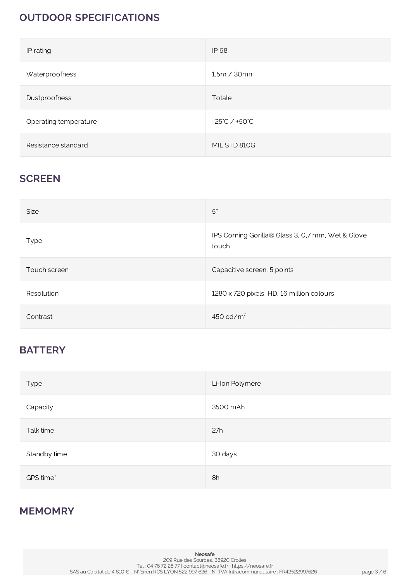# **OUTDOOR SPECIFICATIONS**

| IP rating             | <b>IP68</b>                       |
|-----------------------|-----------------------------------|
| Waterproofness        | 1,5m / 30mn                       |
| Dustproofness         | Totale                            |
| Operating temperature | $-25^{\circ}$ C / $+50^{\circ}$ C |
| Resistance standard   | MIL STD 810G                      |

#### **SCREEN**

| <b>Size</b>  | 5"                                                         |
|--------------|------------------------------------------------------------|
| <b>Type</b>  | IPS Corning Gorilla® Glass 3, 0,7 mm, Wet & Glove<br>touch |
| Touch screen | Capacitive screen, 5 points                                |
| Resolution   | 1280 x 720 pixels, HD, 16 million colours                  |
| Contrast     | 450 cd/ $m2$                                               |

#### **BATTERY**

| Type         | Li-Ion Polymère |
|--------------|-----------------|
| Capacity     | 3500 mAh        |
| Talk time    | 27h             |
| Standby time | 30 days         |
| GPS time*    | 8h              |

#### **MEMOMRY**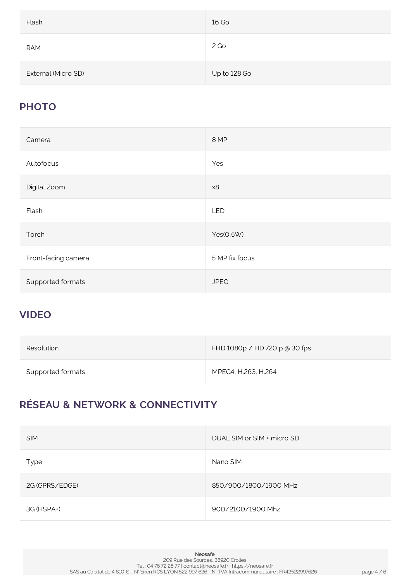| Flash               | 16 Go        |
|---------------------|--------------|
| <b>RAM</b>          | 2 Go         |
| External (Micro SD) | Up to 128 Go |

# **PHOTO**

| Camera              | 8 MP           |
|---------------------|----------------|
| Autofocus           | Yes            |
| Digital Zoom        | x8             |
| Flash               | LED            |
| Torch               | Yes(0,5W)      |
| Front-facing camera | 5 MP fix focus |
| Supported formats   | <b>JPEG</b>    |

# **VIDEO**

| Resolution        | FHD 1080p / HD 720 p @ 30 fps |
|-------------------|-------------------------------|
| Supported formats | MPEG4, H.263, H.264           |

# **RÉSEAU & NETWORK & CONNECTIVITY**

| <b>SIM</b>     | DUAL SIM or SIM + micro SD |
|----------------|----------------------------|
| Type           | Nano SIM                   |
| 2G (GPRS/EDGE) | 850/900/1800/1900 MHz      |
| 3G (HSPA+)     | 900/2100/1900 Mhz          |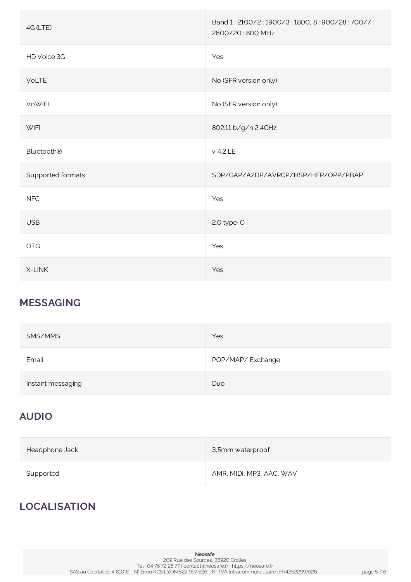| 4G (LTE)          | Band 1: 2100/2:1900/3:1800, 8:900/28:700/7:<br>2600/20:800 MHz |
|-------------------|----------------------------------------------------------------|
| HD Voice 3G       | Yes                                                            |
| VoLTE             | No (SFR version only)                                          |
| <b>VoWIFI</b>     | No (SFR version only)                                          |
| <b>WIFI</b>       | 802.11 b/g/n 2,4GHz                                            |
| <b>Bluetooth®</b> | v 4.2 LE                                                       |
| Supported formats | SDP/GAP/A2DP/AVRCP/HSP/HFP/OPP/PBAP                            |
| <b>NFC</b>        | Yes                                                            |
| <b>USB</b>        | 2.0 type-C                                                     |
| <b>OTG</b>        | Yes                                                            |
| X-LINK            | Yes                                                            |

# **MESSAGING**

| SMS/MMS           | Yes              |
|-------------------|------------------|
| Email             | POP/MAP/Exchange |
| Instant messaging | Duo              |

# **AUDIO**

| Headphone Jack | 3,5mm waterproof         |
|----------------|--------------------------|
| Supported      | AMR, MIDI, MP3, AAC, WAV |

# **LOCALISATION**